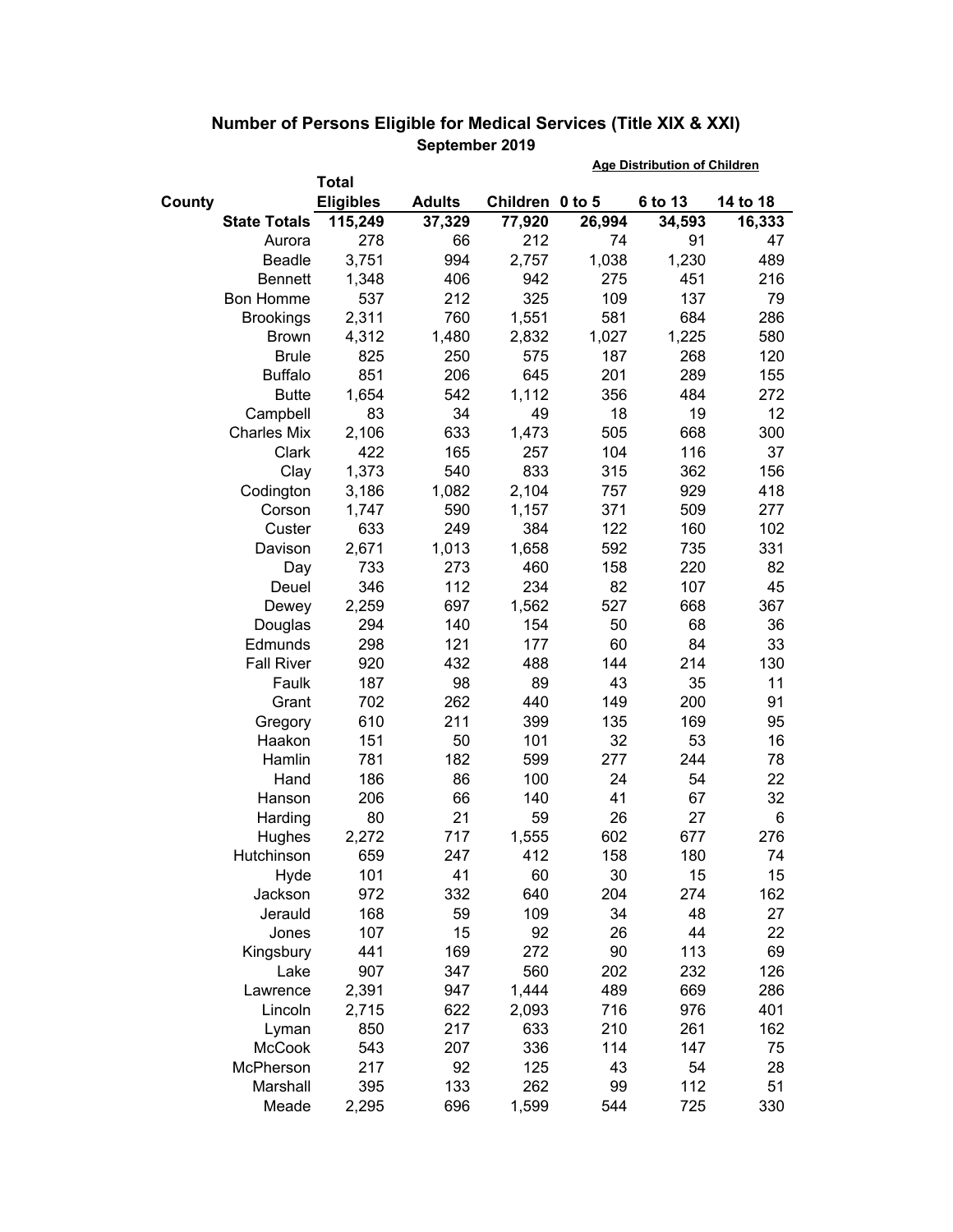|        |                     |                  |               | <b>Age Distribution of Children</b> |        |         |          |
|--------|---------------------|------------------|---------------|-------------------------------------|--------|---------|----------|
|        |                     | <b>Total</b>     |               |                                     |        |         |          |
| County |                     | <b>Eligibles</b> | <b>Adults</b> | Children 0 to 5                     |        | 6 to 13 | 14 to 18 |
|        | <b>State Totals</b> | 115,249          | 37,329        | 77,920                              | 26,994 | 34,593  | 16,333   |
|        | Aurora              | 278              | 66            | 212                                 | 74     | 91      | 47       |
|        | <b>Beadle</b>       | 3,751            | 994           | 2,757                               | 1,038  | 1,230   | 489      |
|        | <b>Bennett</b>      | 1,348            | 406           | 942                                 | 275    | 451     | 216      |
|        | <b>Bon Homme</b>    | 537              | 212           | 325                                 | 109    | 137     | 79       |
|        | <b>Brookings</b>    | 2,311            | 760           | 1,551                               | 581    | 684     | 286      |
|        | <b>Brown</b>        | 4,312            | 1,480         | 2,832                               | 1,027  | 1,225   | 580      |
|        | <b>Brule</b>        | 825              | 250           | 575                                 | 187    | 268     | 120      |
|        | <b>Buffalo</b>      | 851              | 206           | 645                                 | 201    | 289     | 155      |
|        | <b>Butte</b>        | 1,654            | 542           | 1,112                               | 356    | 484     | 272      |
|        | Campbell            | 83               | 34            | 49                                  | 18     | 19      | 12       |
|        | <b>Charles Mix</b>  | 2,106            | 633           | 1,473                               | 505    | 668     | 300      |
|        | Clark               | 422              | 165           | 257                                 | 104    | 116     | 37       |
|        | Clay                | 1,373            | 540           | 833                                 | 315    | 362     | 156      |
|        | Codington           | 3,186            | 1,082         | 2,104                               | 757    | 929     | 418      |
|        | Corson              | 1,747            | 590           | 1,157                               | 371    | 509     | 277      |
|        | Custer              | 633              | 249           | 384                                 | 122    | 160     | 102      |
|        | Davison             | 2,671            | 1,013         | 1,658                               | 592    | 735     | 331      |
|        | Day                 | 733              | 273           | 460                                 | 158    | 220     | 82       |
|        | Deuel               | 346              | 112           | 234                                 | 82     | 107     | 45       |
|        | Dewey               | 2,259            | 697           | 1,562                               | 527    | 668     | 367      |
|        | Douglas             | 294              | 140           | 154                                 | 50     | 68      | 36       |
|        | Edmunds             | 298              | 121           | 177                                 | 60     | 84      | 33       |
|        | <b>Fall River</b>   | 920              | 432           | 488                                 | 144    | 214     | 130      |
|        | Faulk               | 187              | 98            | 89                                  | 43     | 35      | 11       |
|        | Grant               | 702              | 262           | 440                                 | 149    | 200     | 91       |
|        | Gregory             | 610              | 211           | 399                                 | 135    | 169     | 95       |
|        | Haakon              | 151              | 50            | 101                                 | 32     | 53      | 16       |
|        | Hamlin              | 781              | 182           | 599                                 | 277    | 244     | 78       |
|        | Hand                | 186              | 86            | 100                                 | 24     | 54      | 22       |
|        | Hanson              | 206              | 66            | 140                                 | 41     | 67      | 32       |
|        | Harding             | 80               | 21            | 59                                  | 26     | 27      | 6        |
|        | Hughes              | 2,272            | 717           | 1,555                               | 602    | 677     | 276      |
|        | Hutchinson          | 659              | 247           | 412                                 | 158    | 180     | 74       |
|        | Hyde                | 101              | 41            | 60                                  | 30     | 15      | 15       |
|        | Jackson             | 972              | 332           | 640                                 | 204    | 274     | 162      |
|        | Jerauld             | 168              | 59            | 109                                 | 34     | 48      | 27       |
|        | Jones               | 107              | 15            | 92                                  | 26     | 44      | 22       |
|        | Kingsbury           | 441              | 169           | 272                                 | 90     | 113     | 69       |
|        | Lake                | 907              | 347           | 560                                 | 202    | 232     | 126      |
|        | Lawrence            | 2,391            | 947           | 1,444                               | 489    | 669     | 286      |
|        | Lincoln             | 2,715            | 622           | 2,093                               | 716    | 976     | 401      |
|        | Lyman               | 850              | 217           | 633                                 | 210    | 261     | 162      |
|        | McCook              | 543              | 207           | 336                                 | 114    | 147     | 75       |
|        | McPherson           | 217              | 92            | 125                                 | 43     | 54      | 28       |
|        | Marshall            | 395              | 133           | 262                                 | 99     | 112     | 51       |
|        | Meade               | 2,295            | 696           | 1,599                               | 544    | 725     | 330      |

## **Number of Persons Eligible for Medical Services (Title XIX & XXI) September 2019**